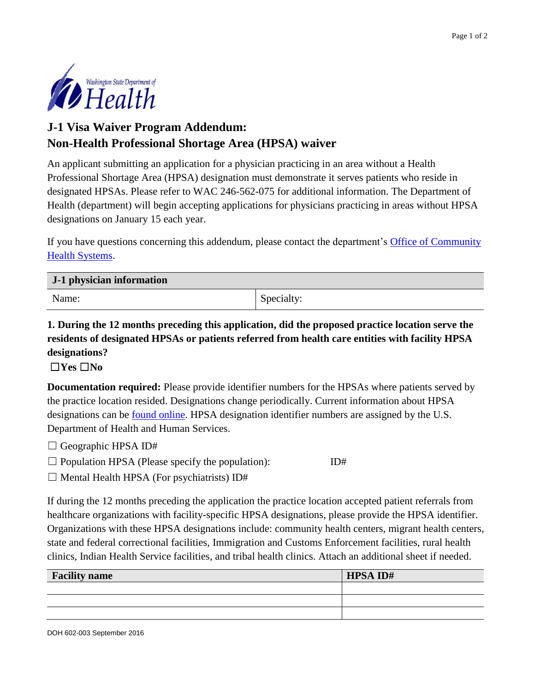

## **J-1 Visa Waiver Program Addendum: Non-Health Professional Shortage Area (HPSA) waiver**

An applicant submitting an application for a physician practicing in an area without a Health Professional Shortage Area (HPSA) designation must demonstrate it serves patients who reside in designated HPSAs. Please refer to WAC 246-562-075 for additional information. The Department of Health (department) will begin accepting applications for physicians practicing in areas without HPSA designations on January 15 each year.

If you have questions concerning this addendum, please contact the department's [Office of Community](http://www.doh.wa.gov/ruralhealth)  [Health Systems.](http://www.doh.wa.gov/ruralhealth)

| J-1 physician information |            |
|---------------------------|------------|
| Name:                     | Specialty: |

## **1. During the 12 months preceding this application, did the proposed practice location serve the residents of designated HPSAs or patients referred from health care entities with facility HPSA designations?**

## ☐**Yes** ☐**No**

**Documentation required:** Please provide identifier numbers for the HPSAs where patients served by the practice location resided. Designations change periodically. Current information about HPSA designations can be [found online.](https://datawarehouse.hrsa.gov/tools/analyzers/hpsafind.aspx) HPSA designation identifier numbers are assigned by the U.S. Department of Health and Human Services.

- $\Box$  Geographic HPSA ID#
- $\square$  Population HPSA (Please specify the population): ID#
- $\Box$  Mental Health HPSA (For psychiatrists) ID#

If during the 12 months preceding the application the practice location accepted patient referrals from healthcare organizations with facility-specific HPSA designations, please provide the HPSA identifier. Organizations with these HPSA designations include: community health centers, migrant health centers, state and federal correctional facilities, Immigration and Customs Enforcement facilities, rural health clinics, Indian Health Service facilities, and tribal health clinics. Attach an additional sheet if needed.

| <b>Facility name</b> | <b>HPSA ID#</b> |
|----------------------|-----------------|
|                      |                 |
|                      |                 |
|                      |                 |